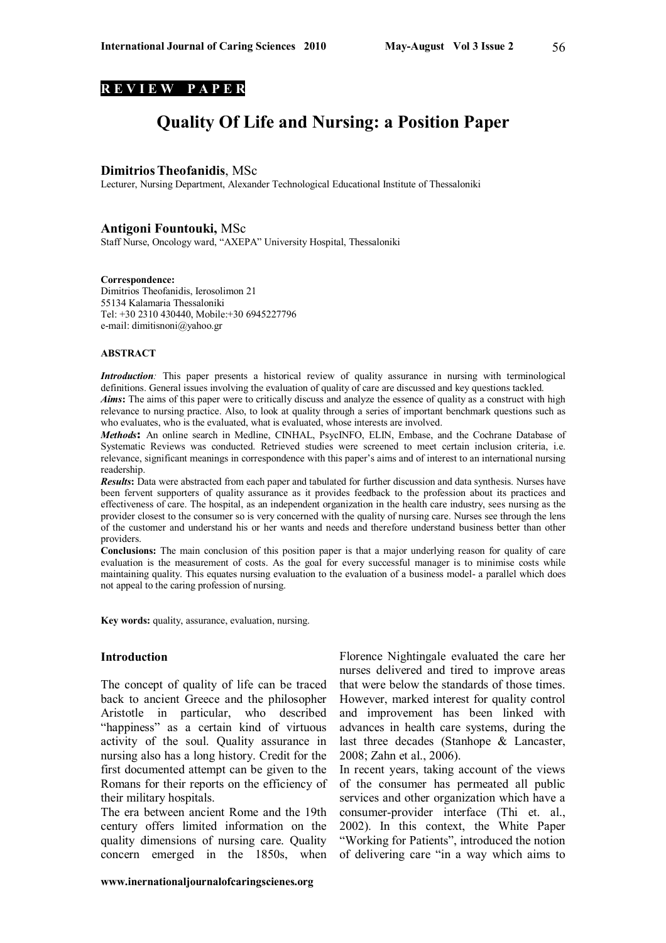#### **R E V I E W P A P E R**

# **Quality Of Life and Nursing: a Position Paper**

#### **DimitriosTheofanidis**, MSc

Lecturer, Nursing Department, Alexander Technological Educational Institute of Thessaloniki

#### **Antigoni Fountouki,** MSc

Staff Nurse, Oncology ward, "AXEPA" University Hospital, Thessaloniki

#### **Correspondence:**

Dimitrios Theofanidis, Ierosolimon 21 55134 Kalamaria Thessaloniki Tel: +30 2310 430440, Mobile:+30 6945227796 e-mail: dimitisnoni@yahoo.gr

#### **ABSTRACT**

*Introduction*: This paper presents a historical review of quality assurance in nursing with terminological definitions. General issues involving the evaluation of quality of care are discussed and key questions tackled. *Aims***:** The aims of this paper were to critically discuss and analyze the essence of quality as a construct with high relevance to nursing practice. Also, to look at quality through a series of important benchmark questions such as who evaluates, who is the evaluated, what is evaluated, whose interests are involved.

*Methods***:** An online search in Medline, CINHAL, PsycINFO, ELIN, Embase, and the Cochrane Database of Systematic Reviews was conducted. Retrieved studies were screened to meet certain inclusion criteria, i.e. relevance, significant meanings in correspondence with this paper's aims and of interest to an international nursing readership.

*Results***:** Data were abstracted from each paper and tabulated for further discussion and data synthesis. Nurses have been fervent supporters of quality assurance as it provides feedback to the profession about its practices and effectiveness of care. The hospital, as an independent organization in the health care industry, sees nursing as the provider closest to the consumer so is very concerned with the quality of nursing care. Nurses see through the lens of the customer and understand his or her wants and needs and therefore understand business better than other providers.

**Conclusions:** The main conclusion of this position paper is that a major underlying reason for quality of care evaluation is the measurement of costs. As the goal for every successful manager is to minimise costs while maintaining quality. This equates nursing evaluation to the evaluation of a business model- a parallel which does not appeal to the caring profession of nursing.

Key words: quality, assurance, evaluation, nursing.

#### **Introduction**

The concept of quality of life can be traced back to ancient Greece and the philosopher Aristotle in particular, who described "happiness" as a certain kind of virtuous activity of the soul. Quality assurance in nursing also has a long history. Credit for the first documented attempt can be given to the Romans for their reports on the efficiency of their military hospitals.

The era between ancient Rome and the 19th century offers limited information on the quality dimensions of nursing care. Quality concern emerged in the 1850s, when

Florence Nightingale evaluated the care her nurses delivered and tired to improve areas that were below the standards of those times. However, marked interest for quality control and improvement has been linked with advances in health care systems, during the last three decades (Stanhope & Lancaster, 2008; Zahn et al., 2006).

In recent years, taking account of the views of the consumer has permeated all public services and other organization which have a consumer-provider interface (Thi et. al., 2002). In this context, the White Paper "Working for Patients", introduced the notion of delivering care "in a way which aims to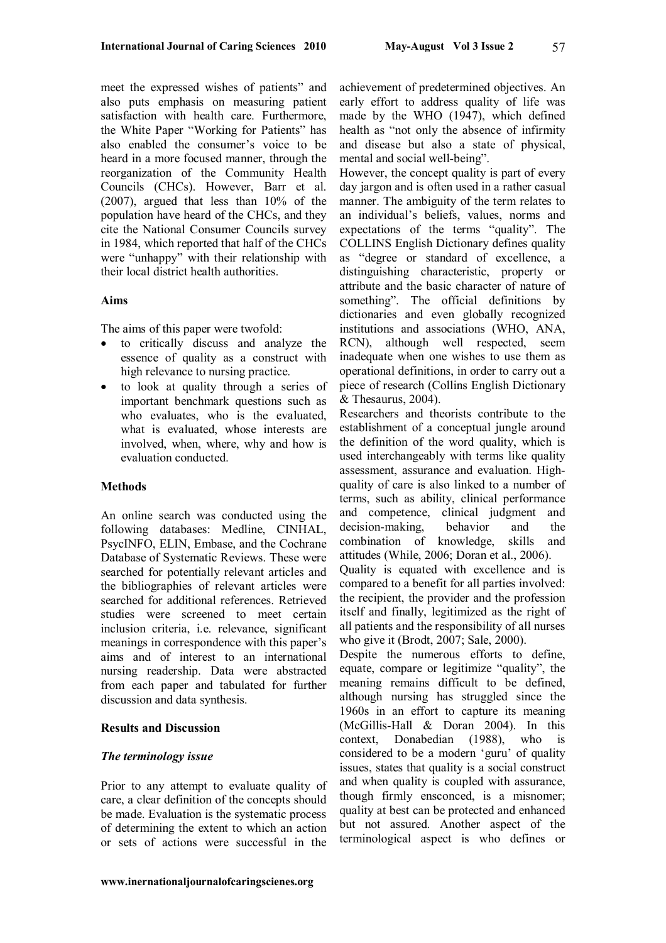meet the expressed wishes of patients" and also puts emphasis on measuring patient satisfaction with health care. Furthermore, the White Paper "Working for Patients" has also enabled the consumer's voice to be heard in a more focused manner, through the reorganization of the Community Health Councils (CHCs). However, Barr et al. (2007), argued that less than 10% of the population have heard of the CHCs, and they cite the National Consumer Councils survey in 1984, which reported that half of the CHCs were "unhappy" with their relationship with their local district health authorities.

### **Aims**

The aims of this paper were twofold:

- to critically discuss and analyze the essence of quality as a construct with high relevance to nursing practice.
- to look at quality through a series of important benchmark questions such as who evaluates, who is the evaluated, what is evaluated, whose interests are involved, when, where, why and how is evaluation conducted.

### **Methods**

An online search was conducted using the following databases: Medline, CINHAL, PsycINFO, ELIN, Embase, and the Cochrane Database of Systematic Reviews. These were searched for potentially relevant articles and the bibliographies of relevant articles were searched for additional references. Retrieved studies were screened to meet certain inclusion criteria, i.e. relevance, significant meanings in correspondence with this paper's aims and of interest to an international nursing readership. Data were abstracted from each paper and tabulated for further discussion and data synthesis.

### **Results and Discussion**

### *The terminology issue*

Prior to any attempt to evaluate quality of care, a clear definition of the concepts should be made. Evaluation is the systematic process of determining the extent to which an action or sets of actions were successful in the achievement of predetermined objectives. An early effort to address quality of life was made by the WHO (1947), which defined health as "not only the absence of infirmity and disease but also a state of physical, mental and social well-being".

However, the concept quality is part of every day jargon and is often used in a rather casual manner. The ambiguity of the term relates to an individual's beliefs, values, norms and expectations of the terms "quality". The COLLINS English Dictionary defines quality as "degree or standard of excellence, a distinguishing characteristic, property or attribute and the basic character of nature of something". The official definitions by dictionaries and even globally recognized institutions and associations (WHO, ANA, RCN), although well respected, seem inadequate when one wishes to use them as operational definitions, in order to carry out a piece of research (Collins English Dictionary & Thesaurus, 2004).

Researchers and theorists contribute to the establishment of a conceptual jungle around the definition of the word quality, which is used interchangeably with terms like quality assessment, assurance and evaluation. Highquality of care is also linked to a number of terms, such as ability, clinical performance and competence, clinical judgment and decision-making, behavior and the combination of knowledge, skills and attitudes (While, 2006; Doran et al., 2006).

Quality is equated with excellence and is compared to a benefit for all parties involved: the recipient, the provider and the profession itself and finally, legitimized as the right of all patients and the responsibility of all nurses who give it (Brodt, 2007; Sale, 2000).

Despite the numerous efforts to define, equate, compare or legitimize "quality", the meaning remains difficult to be defined, although nursing has struggled since the 1960s in an effort to capture its meaning (McGillis-Hall & Doran 2004). In this context, Donabedian (1988), who is considered to be a modern 'guru' of quality issues, states that quality is a social construct and when quality is coupled with assurance, though firmly ensconced, is a misnomer; quality at best can be protected and enhanced but not assured. Another aspect of the terminological aspect is who defines or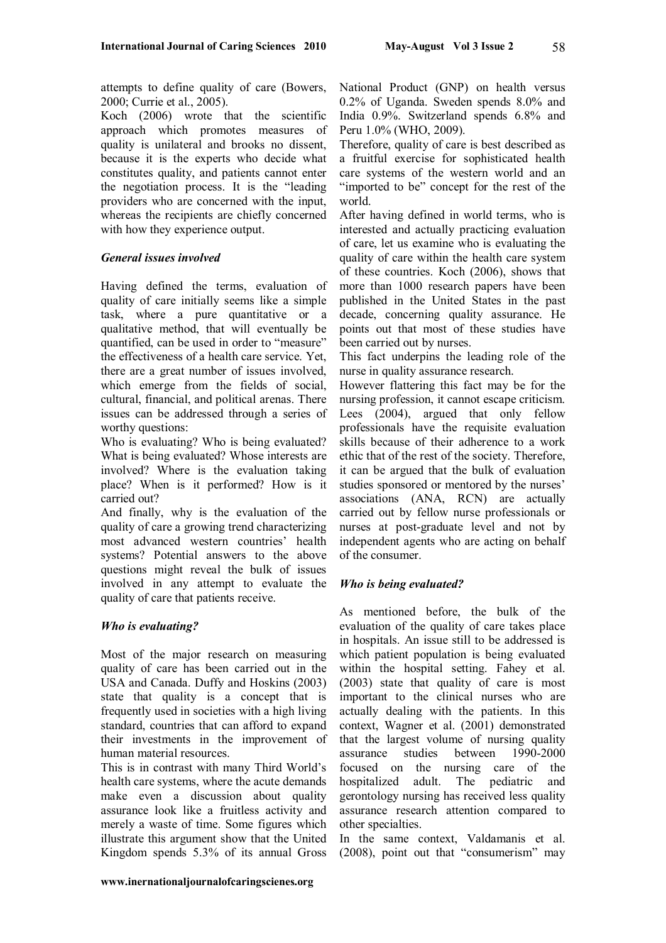attempts to define quality of care (Bowers, 2000; Currie et al., 2005).

Koch (2006) wrote that the scientific approach which promotes measures of quality is unilateral and brooks no dissent, because it is the experts who decide what constitutes quality, and patients cannot enter the negotiation process. It is the "leading providers who are concerned with the input, whereas the recipients are chiefly concerned with how they experience output.

# *General issues involved*

Having defined the terms, evaluation of quality of care initially seems like a simple task, where a pure quantitative or a qualitative method, that will eventually be quantified, can be used in order to "measure" the effectiveness of a health care service. Yet, there are a great number of issues involved, which emerge from the fields of social, cultural, financial, and political arenas. There issues can be addressed through a series of worthy questions:

Who is evaluating? Who is being evaluated? What is being evaluated? Whose interests are involved? Where is the evaluation taking place? When is it performed? How is it carried out?

And finally, why is the evaluation of the quality of care a growing trend characterizing most advanced western countries' health systems? Potential answers to the above questions might reveal the bulk of issues involved in any attempt to evaluate the quality of care that patients receive.

# *Who is evaluating?*

Most of the major research on measuring quality of care has been carried out in the USA and Canada. Duffy and Hoskins (2003) state that quality is a concept that is frequently used in societies with a high living standard, countries that can afford to expand their investments in the improvement of human material resources.

This is in contrast with many Third World's health care systems, where the acute demands make even a discussion about quality assurance look like a fruitless activity and merely a waste of time. Some figures which illustrate this argument show that the United Kingdom spends 5.3% of its annual Gross

National Product (GNP) on health versus 0.2% of Uganda. Sweden spends 8.0% and India 0.9%. Switzerland spends 6.8% and Peru 1.0% (WHO, 2009).

Therefore, quality of care is best described as a fruitful exercise for sophisticated health care systems of the western world and an "imported to be" concept for the rest of the world.

After having defined in world terms, who is interested and actually practicing evaluation of care, let us examine who is evaluating the quality of care within the health care system of these countries. Koch (2006), shows that more than 1000 research papers have been published in the United States in the past decade, concerning quality assurance. He points out that most of these studies have been carried out by nurses.

This fact underpins the leading role of the nurse in quality assurance research.

However flattering this fact may be for the nursing profession, it cannot escape criticism. Lees (2004), argued that only fellow professionals have the requisite evaluation skills because of their adherence to a work ethic that of the rest of the society. Therefore, it can be argued that the bulk of evaluation studies sponsored or mentored by the nurses' associations (ANA, RCN) are actually carried out by fellow nurse professionals or nurses at post-graduate level and not by independent agents who are acting on behalf of the consumer.

# *Who is being evaluated?*

As mentioned before, the bulk of the evaluation of the quality of care takes place in hospitals. An issue still to be addressed is which patient population is being evaluated within the hospital setting. Fahey et al. (2003) state that quality of care is most important to the clinical nurses who are actually dealing with the patients. In this context, Wagner et al. (2001) demonstrated that the largest volume of nursing quality assurance studies between 1990-2000 focused on the nursing care of the hospitalized adult. The pediatric and gerontology nursing has received less quality assurance research attention compared to other specialties.

In the same context, Valdamanis et al. (2008), point out that "consumerism" may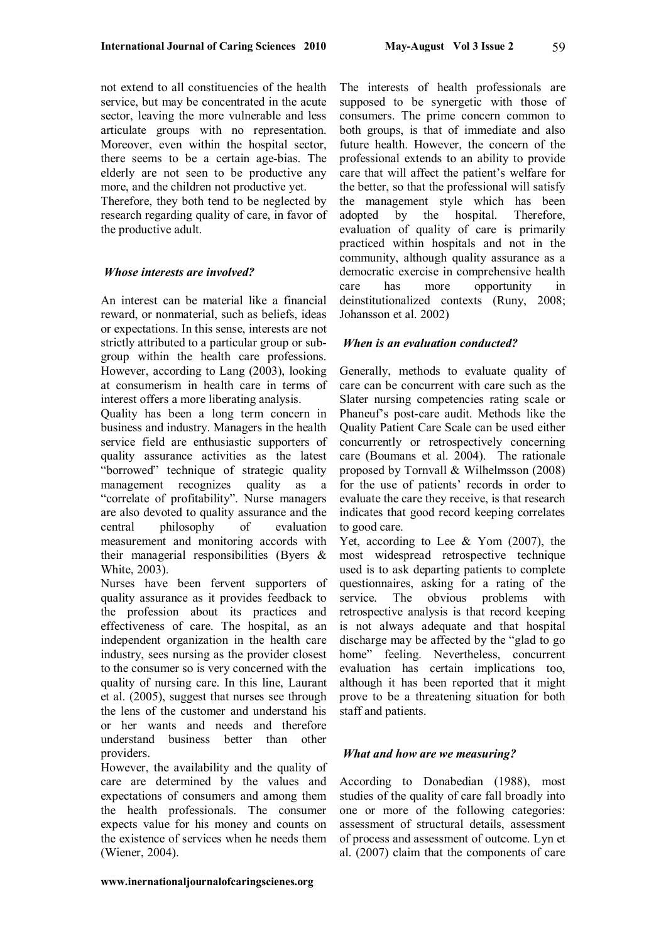59

not extend to all constituencies of the health service, but may be concentrated in the acute sector, leaving the more vulnerable and less articulate groups with no representation. Moreover, even within the hospital sector, there seems to be a certain age-bias. The elderly are not seen to be productive any more, and the children not productive yet.

Therefore, they both tend to be neglected by research regarding quality of care, in favor of the productive adult.

### *Whose interests are involved?*

An interest can be material like a financial reward, or nonmaterial, such as beliefs, ideas or expectations. In this sense, interests are not strictly attributed to a particular group or subgroup within the health care professions. However, according to Lang (2003), looking at consumerism in health care in terms of interest offers a more liberating analysis.

Quality has been a long term concern in business and industry. Managers in the health service field are enthusiastic supporters of quality assurance activities as the latest "borrowed" technique of strategic quality<br>management recognizes quality as a management recognizes "correlate of profitability". Nurse managers are also devoted to quality assurance and the central philosophy of evaluation measurement and monitoring accords with their managerial responsibilities (Byers & White, 2003).

Nurses have been fervent supporters of quality assurance as it provides feedback to the profession about its practices and effectiveness of care. The hospital, as an independent organization in the health care industry, sees nursing as the provider closest to the consumer so is very concerned with the quality of nursing care. In this line, Laurant et al. (2005), suggest that nurses see through the lens of the customer and understand his or her wants and needs and therefore understand business better than other providers.

However, the availability and the quality of care are determined by the values and expectations of consumers and among them the health professionals. The consumer expects value for his money and counts on the existence of services when he needs them (Wiener, 2004).

The interests of health professionals are supposed to be synergetic with those of consumers. The prime concern common to both groups, is that of immediate and also future health. However, the concern of the professional extends to an ability to provide care that will affect the patient's welfare for the better, so that the professional will satisfy the management style which has been adopted by the hospital. Therefore, evaluation of quality of care is primarily practiced within hospitals and not in the community, although quality assurance as a democratic exercise in comprehensive health care has more opportunity in deinstitutionalized contexts (Runy, 2008; Johansson et al. 2002)

## *When is an evaluation conducted?*

Generally, methods to evaluate quality of care can be concurrent with care such as the Slater nursing competencies rating scale or Phaneuf's post-care audit. Methods like the Quality Patient Care Scale can be used either concurrently or retrospectively concerning care (Boumans et al. 2004). The rationale proposed by Tornvall & Wilhelmsson (2008) for the use of patients' records in order to evaluate the care they receive, is that research indicates that good record keeping correlates to good care.

Yet, according to Lee & Yom (2007), the most widespread retrospective technique used is to ask departing patients to complete questionnaires, asking for a rating of the service. The obvious problems with retrospective analysis is that record keeping is not always adequate and that hospital discharge may be affected by the "glad to go home" feeling. Nevertheless, concurrent evaluation has certain implications too, although it has been reported that it might prove to be a threatening situation for both staff and patients.

### *What and how are we measuring?*

According to Donabedian (1988), most studies of the quality of care fall broadly into one or more of the following categories: assessment of structural details, assessment of process and assessment of outcome. Lyn et al. (2007) claim that the components of care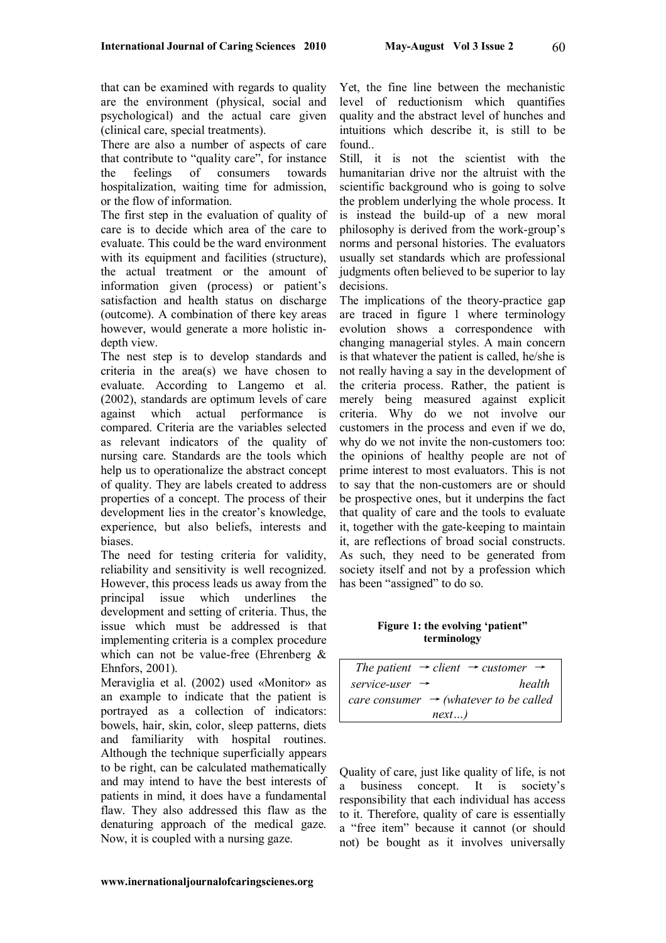that can be examined with regards to quality are the environment (physical, social and psychological) and the actual care given (clinical care, special treatments).

There are also a number of aspects of care that contribute to "quality care", for instance the feelings of consumers towards hospitalization, waiting time for admission, or the flow of information.

The first step in the evaluation of quality of care is to decide which area of the care to evaluate. This could be the ward environment with its equipment and facilities (structure), the actual treatment or the amount of information given (process) or patient's satisfaction and health status on discharge (outcome). A combination of there key areas however, would generate a more holistic indepth view.

The nest step is to develop standards and criteria in the area(s) we have chosen to evaluate. According to Langemo et al. (2002), standards are optimum levels of care against which actual performance is compared. Criteria are the variables selected as relevant indicators of the quality of nursing care. Standards are the tools which help us to operationalize the abstract concept of quality. They are labels created to address properties of a concept. The process of their development lies in the creator's knowledge, experience, but also beliefs, interests and biases.

The need for testing criteria for validity, reliability and sensitivity is well recognized. However, this process leads us away from the principal issue which underlines the development and setting of criteria. Thus, the issue which must be addressed is that implementing criteria is a complex procedure which can not be value-free (Ehrenberg & Ehnfors, 2001).

Meraviglia et al. (2002) used «Monitor» as an example to indicate that the patient is portrayed as a collection of indicators: bowels, hair, skin, color, sleep patterns, diets and familiarity with hospital routines. Although the technique superficially appears to be right, can be calculated mathematically and may intend to have the best interests of patients in mind, it does have a fundamental flaw. They also addressed this flaw as the denaturing approach of the medical gaze. Now, it is coupled with a nursing gaze.

Yet, the fine line between the mechanistic level of reductionism which quantifies quality and the abstract level of hunches and intuitions which describe it, is still to be found..

Still, it is not the scientist with the humanitarian drive nor the altruist with the scientific background who is going to solve the problem underlying the whole process. It is instead the build-up of a new moral philosophy is derived from the work-group's norms and personal histories. The evaluators usually set standards which are professional judgments often believed to be superior to lay decisions.

The implications of the theory-practice gap are traced in figure 1 where terminology evolution shows a correspondence with changing managerial styles. A main concern is that whatever the patient is called, he/she is not really having a say in the development of the criteria process. Rather, the patient is merely being measured against explicit criteria. Why do we not involve our customers in the process and even if we do, why do we not invite the non-customers too: the opinions of healthy people are not of prime interest to most evaluators. This is not to say that the non-customers are or should be prospective ones, but it underpins the fact that quality of care and the tools to evaluate it, together with the gate-keeping to maintain it, are reflections of broad social constructs. As such, they need to be generated from society itself and not by a profession which has been "assigned" to do so.

**Figure 1: the evolving 'patient" terminology**

| The patient $\rightarrow$ client $\rightarrow$ customer $\rightarrow$ |        |
|-----------------------------------------------------------------------|--------|
| service-user $\rightarrow$                                            | health |
| care consumer $\rightarrow$ (whatever to be called                    |        |
| next                                                                  |        |

Quality of care, just like quality of life, is not a business concept. It is society's responsibility that each individual has access to it. Therefore, quality of care is essentially a "free item" because it cannot (or should not) be bought as it involves universally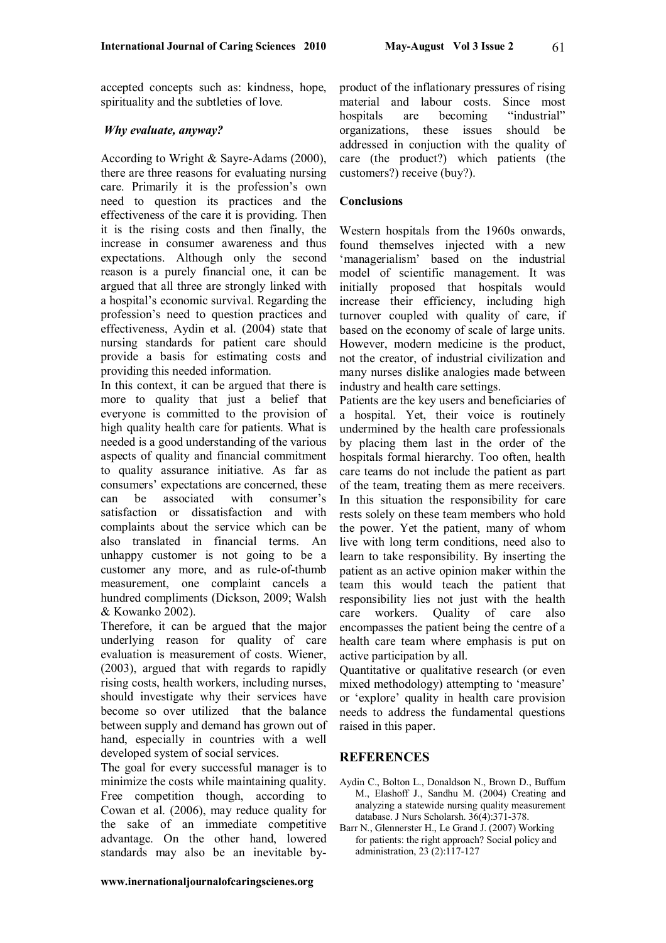61

accepted concepts such as: kindness, hope, spirituality and the subtleties of love.

### *Why evaluate, anyway?*

According to Wright & Sayre-Adams (2000), there are three reasons for evaluating nursing care. Primarily it is the profession's own need to question its practices and the effectiveness of the care it is providing. Then it is the rising costs and then finally, the increase in consumer awareness and thus expectations. Although only the second reason is a purely financial one, it can be argued that all three are strongly linked with a hospital's economic survival. Regarding the profession's need to question practices and effectiveness, Aydin et al. (2004) state that nursing standards for patient care should provide a basis for estimating costs and providing this needed information.

In this context, it can be argued that there is more to quality that just a belief that everyone is committed to the provision of high quality health care for patients. What is needed is a good understanding of the various aspects of quality and financial commitment to quality assurance initiative. As far as consumers' expectations are concerned, these can be associated with consumer's satisfaction or dissatisfaction and with complaints about the service which can be also translated in financial terms. An unhappy customer is not going to be a customer any more, and as rule-of-thumb measurement, one complaint cancels a hundred compliments (Dickson, 2009; Walsh & Kowanko 2002).

Therefore, it can be argued that the major underlying reason for quality of care evaluation is measurement of costs. Wiener, (2003), argued that with regards to rapidly rising costs, health workers, including nurses, should investigate why their services have become so over utilized that the balance between supply and demand has grown out of hand, especially in countries with a well developed system of social services.

The goal for every successful manager is to minimize the costs while maintaining quality. Free competition though, according to Cowan et al. (2006), may reduce quality for the sake of an immediate competitive advantage. On the other hand, lowered standards may also be an inevitable byproduct of the inflationary pressures of rising material and labour costs. Since most hospitals are becoming "industrial" organizations, these issues should be addressed in conjuction with the quality of care (the product?) which patients (the customers?) receive (buy?).

#### **Conclusions**

Western hospitals from the 1960s onwards, found themselves injected with a new 'managerialism' based on the industrial model of scientific management. It was initially proposed that hospitals would increase their efficiency, including high turnover coupled with quality of care, if based on the economy of scale of large units. However, modern medicine is the product, not the creator, of industrial civilization and many nurses dislike analogies made between industry and health care settings.

Patients are the key users and beneficiaries of a hospital. Yet, their voice is routinely undermined by the health care professionals by placing them last in the order of the hospitals formal hierarchy. Too often, health care teams do not include the patient as part of the team, treating them as mere receivers. In this situation the responsibility for care rests solely on these team members who hold the power. Yet the patient, many of whom live with long term conditions, need also to learn to take responsibility. By inserting the patient as an active opinion maker within the team this would teach the patient that responsibility lies not just with the health care workers. Quality of care also encompasses the patient being the centre of a health care team where emphasis is put on active participation by all.

Quantitative or qualitative research (or even mixed methodology) attempting to 'measure' or 'explore' quality in health care provision needs to address the fundamental questions raised in this paper.

### **REFERENCES**

- Aydin C., Bolton L., Donaldson N., Brown D., Buffum M., Elashoff J., Sandhu M. (2004) Creating and analyzing a statewide nursing quality measurement database. J Nurs Scholarsh. 36(4):371-378.
- Barr N., Glennerster H., Le Grand J. (2007) Working for patients: the right approach? Social policy and administration, 23 (2):117-127